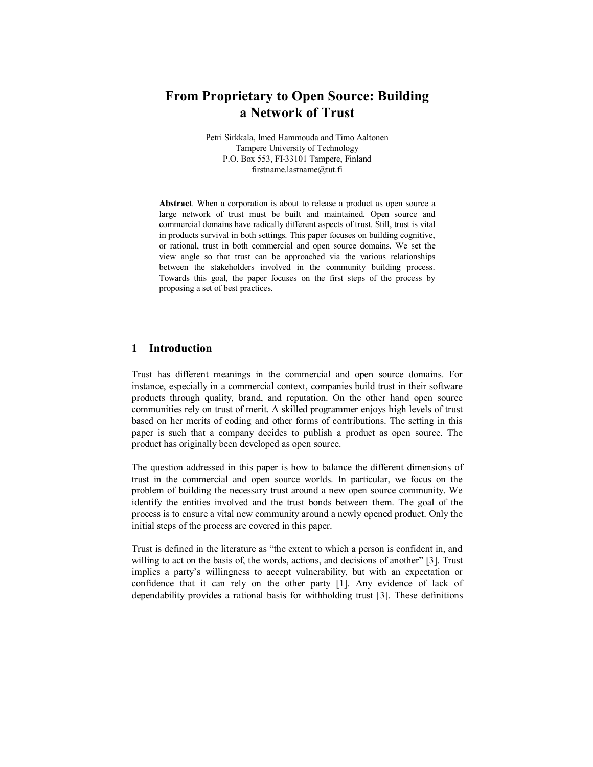# **From Proprietary to Open Source: Building a Network of Trust**

Petri Sirkkala, Imed Hammouda and Timo Aaltonen Tampere University of Technology P.O. Box 553, FI-33101 Tampere, Finland firstname.lastname@tut.fi

**Abstract**. When a corporation is about to release a product as open source a large network of trust must be built and maintained. Open source and commercial domains have radically different aspects of trust. Still, trust is vital in products survival in both settings. This paper focuses on building cognitive, or rational, trust in both commercial and open source domains. We set the view angle so that trust can be approached via the various relationships between the stakeholders involved in the community building process. Towards this goal, the paper focuses on the first steps of the process by proposing a set of best practices.

## **1 Introduction**

Trust has different meanings in the commercial and open source domains. For instance, especially in a commercial context, companies build trust in their software products through quality, brand, and reputation. On the other hand open source communities rely on trust of merit. A skilled programmer enjoys high levels of trust based on her merits of coding and other forms of contributions. The setting in this paper is such that a company decides to publish a product as open source. The product has originally been developed as open source.

The question addressed in this paper is how to balance the different dimensions of trust in the commercial and open source worlds. In particular, we focus on the problem of building the necessary trust around a new open source community. We identify the entities involved and the trust bonds between them. The goal of the process is to ensure a vital new community around a newly opened product. Only the initial steps of the process are covered in this paper.

Trust is defined in the literature as "the extent to which a person is confident in, and willing to act on the basis of, the words, actions, and decisions of another" [3]. Trust implies a party's willingness to accept vulnerability, but with an expectation or confidence that it can rely on the other party [1]. Any evidence of lack of dependability provides a rational basis for withholding trust [3]. These definitions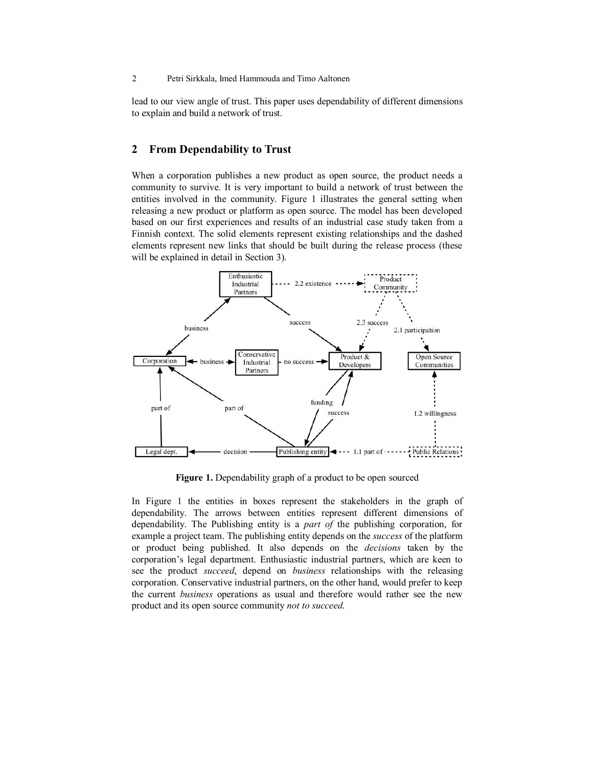lead to our view angle of trust. This paper uses dependability of different dimensions to explain and build a network of trust.

# **2 From Dependability to Trust**

When a corporation publishes a new product as open source, the product needs a community to survive. It is very important to build a network of trust between the entities involved in the community. Figure 1 illustrates the general setting when releasing a new product or platform as open source. The model has been developed based on our first experiences and results of an industrial case study taken from a Finnish context. The solid elements represent existing relationships and the dashed elements represent new links that should be built during the release process (these will be explained in detail in Section 3).



**Figure 1.** Dependability graph of a product to be open sourced

In Figure 1 the entities in boxes represent the stakeholders in the graph of dependability. The arrows between entities represent different dimensions of dependability. The Publishing entity is a *part of* the publishing corporation, for example a project team. The publishing entity depends on the *success* of the platform or product being published. It also depends on the *decisions* taken by the corporation's legal department. Enthusiastic industrial partners, which are keen to see the product *succeed*, depend on *business* relationships with the releasing corporation. Conservative industrial partners, on the other hand, would prefer to keep the current *business* operations as usual and therefore would rather see the new product and its open source community *not to succeed*.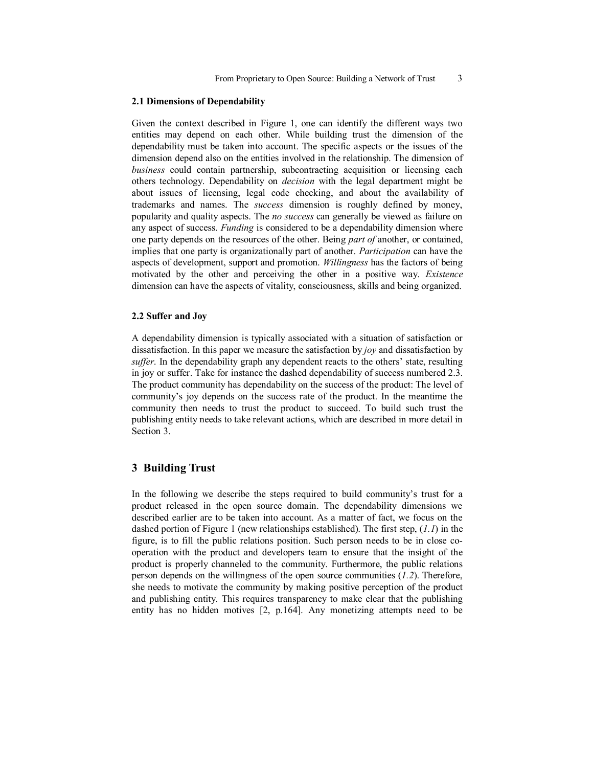#### **2.1 Dimensions of Dependability**

Given the context described in Figure 1, one can identify the different ways two entities may depend on each other. While building trust the dimension of the dependability must be taken into account. The specific aspects or the issues of the dimension depend also on the entities involved in the relationship. The dimension of *business* could contain partnership, subcontracting acquisition or licensing each others technology. Dependability on *decision* with the legal department might be about issues of licensing, legal code checking, and about the availability of trademarks and names. The *success* dimension is roughly defined by money, popularity and quality aspects. The *no success* can generally be viewed as failure on any aspect of success. *Funding* is considered to be a dependability dimension where one party depends on the resources of the other. Being *part of* another, or contained, implies that one party is organizationally part of another. *Participation* can have the aspects of development, support and promotion. *Willingness* has the factors of being motivated by the other and perceiving the other in a positive way. *Existence* dimension can have the aspects of vitality, consciousness, skills and being organized.

#### **2.2 Suffer and Joy**

A dependability dimension is typically associated with a situation of satisfaction or dissatisfaction. In this paper we measure the satisfaction by *joy* and dissatisfaction by *suffer*. In the dependability graph any dependent reacts to the others' state, resulting in joy or suffer. Take for instance the dashed dependability of success numbered 2.3. The product community has dependability on the success of the product: The level of community's joy depends on the success rate of the product. In the meantime the community then needs to trust the product to succeed. To build such trust the publishing entity needs to take relevant actions, which are described in more detail in Section 3.

## **3 Building Trust**

In the following we describe the steps required to build community's trust for a product released in the open source domain. The dependability dimensions we described earlier are to be taken into account. As a matter of fact, we focus on the dashed portion of Figure 1 (new relationships established). The first step, (*1.1*) in the figure, is to fill the public relations position. Such person needs to be in close cooperation with the product and developers team to ensure that the insight of the product is properly channeled to the community. Furthermore, the public relations person depends on the willingness of the open source communities (*1.2*). Therefore, she needs to motivate the community by making positive perception of the product and publishing entity. This requires transparency to make clear that the publishing entity has no hidden motives [2, p.164]. Any monetizing attempts need to be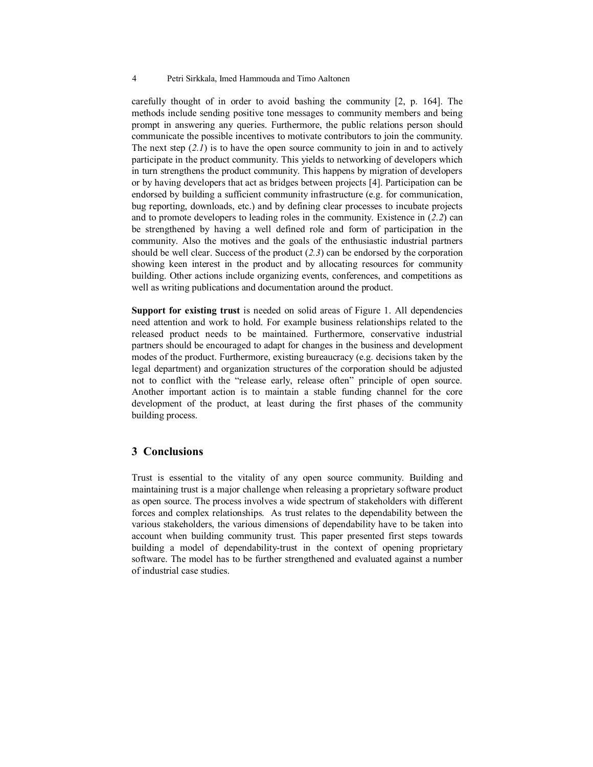#### 4 Petri Sirkkala, Imed Hammouda and Timo Aaltonen

carefully thought of in order to avoid bashing the community [2, p. 164]. The methods include sending positive tone messages to community members and being prompt in answering any queries. Furthermore, the public relations person should communicate the possible incentives to motivate contributors to join the community. The next step  $(2.1)$  is to have the open source community to join in and to actively participate in the product community. This yields to networking of developers which in turn strengthens the product community. This happens by migration of developers or by having developers that act as bridges between projects [4]. Participation can be endorsed by building a sufficient community infrastructure (e.g. for communication, bug reporting, downloads, etc.) and by defining clear processes to incubate projects and to promote developers to leading roles in the community. Existence in (*2.2*) can be strengthened by having a well defined role and form of participation in the community. Also the motives and the goals of the enthusiastic industrial partners should be well clear. Success of the product (*2.3*) can be endorsed by the corporation showing keen interest in the product and by allocating resources for community building. Other actions include organizing events, conferences, and competitions as well as writing publications and documentation around the product.

**Support for existing trust** is needed on solid areas of Figure 1. All dependencies need attention and work to hold. For example business relationships related to the released product needs to be maintained. Furthermore, conservative industrial partners should be encouraged to adapt for changes in the business and development modes of the product. Furthermore, existing bureaucracy (e.g. decisions taken by the legal department) and organization structures of the corporation should be adjusted not to conflict with the "release early, release often" principle of open source. Another important action is to maintain a stable funding channel for the core development of the product, at least during the first phases of the community building process.

### **3 Conclusions**

Trust is essential to the vitality of any open source community. Building and maintaining trust is a major challenge when releasing a proprietary software product as open source. The process involves a wide spectrum of stakeholders with different forces and complex relationships. As trust relates to the dependability between the various stakeholders, the various dimensions of dependability have to be taken into account when building community trust. This paper presented first steps towards building a model of dependability-trust in the context of opening proprietary software. The model has to be further strengthened and evaluated against a number of industrial case studies.